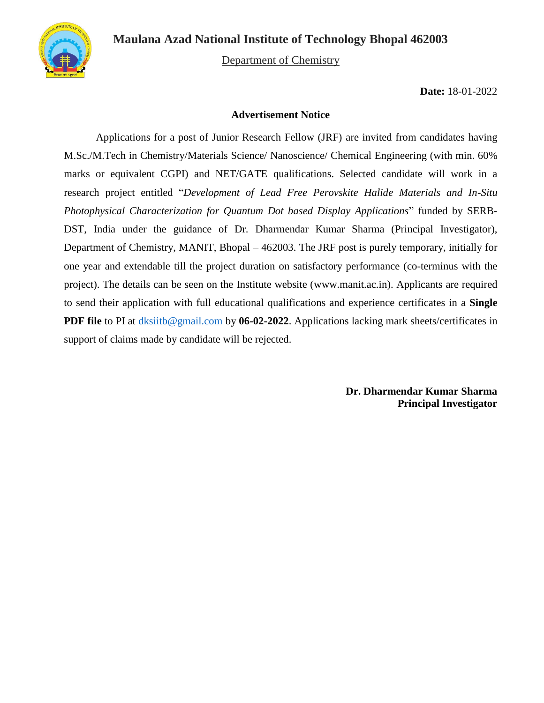

Department of Chemistry

**Date:** 18-01-2022

#### **Advertisement Notice**

Applications for a post of Junior Research Fellow (JRF) are invited from candidates having M.Sc./M.Tech in Chemistry/Materials Science/ Nanoscience/ Chemical Engineering (with min. 60% marks or equivalent CGPI) and NET/GATE qualifications. Selected candidate will work in a research project entitled "*Development of Lead Free Perovskite Halide Materials and In-Situ Photophysical Characterization for Quantum Dot based Display Applications*" funded by SERB-DST, India under the guidance of Dr. Dharmendar Kumar Sharma (Principal Investigator), Department of Chemistry, MANIT, Bhopal – 462003. The JRF post is purely temporary, initially for one year and extendable till the project duration on satisfactory performance (co-terminus with the project). The details can be seen on the Institute website (www.manit.ac.in). Applicants are required to send their application with full educational qualifications and experience certificates in a **Single PDF file** to PI at [dksiitb@gmail.com](mailto:dksiitb@gmail.com) by **06-02-2022**. Applications lacking mark sheets/certificates in support of claims made by candidate will be rejected.

> **Dr. Dharmendar Kumar Sharma Principal Investigator**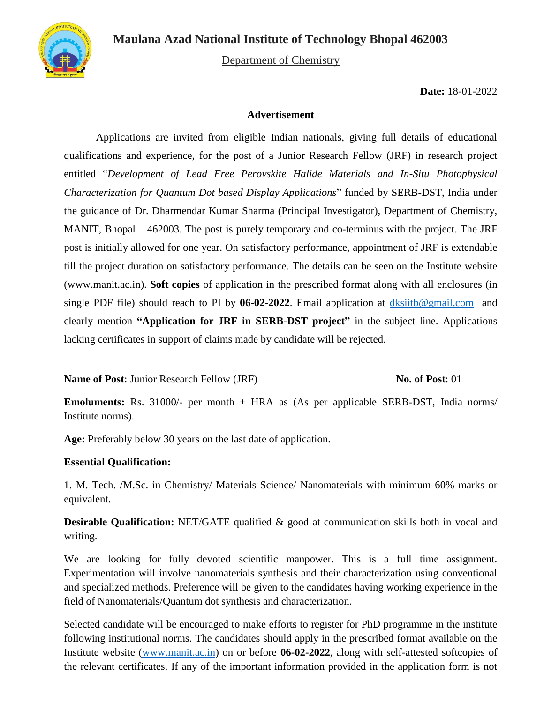

Department of Chemistry

**Date:** 18-01-2022

### **Advertisement**

Applications are invited from eligible Indian nationals, giving full details of educational qualifications and experience, for the post of a Junior Research Fellow (JRF) in research project entitled "*Development of Lead Free Perovskite Halide Materials and In-Situ Photophysical Characterization for Quantum Dot based Display Applications*" funded by SERB-DST, India under the guidance of Dr. Dharmendar Kumar Sharma (Principal Investigator), Department of Chemistry, MANIT, Bhopal – 462003. The post is purely temporary and co-terminus with the project. The JRF post is initially allowed for one year. On satisfactory performance, appointment of JRF is extendable till the project duration on satisfactory performance. The details can be seen on the Institute website (www.manit.ac.in). **Soft copies** of application in the prescribed format along with all enclosures (in single PDF file) should reach to PI by 06-02-2022. Email application at [dksiitb@gmail.com](mailto:dksiitb@gmail.com) and clearly mention **"Application for JRF in SERB-DST project"** in the subject line. Applications lacking certificates in support of claims made by candidate will be rejected.

### **Name of Post:** Junior Research Fellow (JRF) **No. 3** No. 6 Post: 01

**Emoluments:** Rs. 31000/- per month + HRA as (As per applicable SERB-DST, India norms/ Institute norms).

**Age:** Preferably below 30 years on the last date of application.

#### **Essential Qualification:**

1. M. Tech. /M.Sc. in Chemistry/ Materials Science/ Nanomaterials with minimum 60% marks or equivalent.

**Desirable Qualification:** NET/GATE qualified & good at communication skills both in vocal and writing.

We are looking for fully devoted scientific manpower. This is a full time assignment. Experimentation will involve nanomaterials synthesis and their characterization using conventional and specialized methods. Preference will be given to the candidates having working experience in the field of Nanomaterials/Quantum dot synthesis and characterization.

Selected candidate will be encouraged to make efforts to register for PhD programme in the institute following institutional norms. The candidates should apply in the prescribed format available on the Institute website [\(www.manit.ac.in\)](http://www.manit.ac.in/) on or before **06-02-2022**, along with self-attested softcopies of the relevant certificates. If any of the important information provided in the application form is not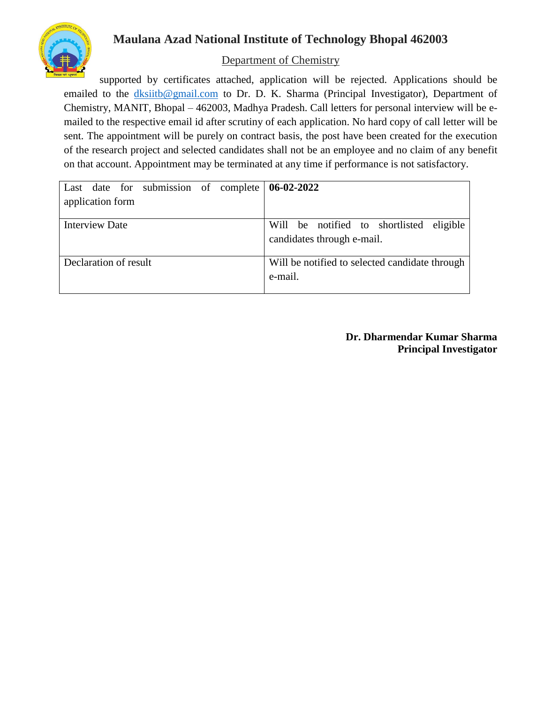

## Department of Chemistry

supported by certificates attached, application will be rejected. Applications should be emailed to the [dksiitb@gmail.com](mailto:dksiitb@gmail.com) to Dr. D. K. Sharma (Principal Investigator), Department of Chemistry, MANIT, Bhopal – 462003, Madhya Pradesh. Call letters for personal interview will be emailed to the respective email id after scrutiny of each application. No hard copy of call letter will be sent. The appointment will be purely on contract basis, the post have been created for the execution of the research project and selected candidates shall not be an employee and no claim of any benefit on that account. Appointment may be terminated at any time if performance is not satisfactory.

| Last date for submission of complete $\vert 06-02-2022 \vert$ |                                                |  |  |  |
|---------------------------------------------------------------|------------------------------------------------|--|--|--|
| application form                                              |                                                |  |  |  |
|                                                               |                                                |  |  |  |
| <b>Interview Date</b>                                         | Will be notified to shortlisted eligible       |  |  |  |
|                                                               | candidates through e-mail.                     |  |  |  |
|                                                               |                                                |  |  |  |
| Declaration of result                                         | Will be notified to selected candidate through |  |  |  |
|                                                               | e-mail.                                        |  |  |  |
|                                                               |                                                |  |  |  |

### **Dr. Dharmendar Kumar Sharma Principal Investigator**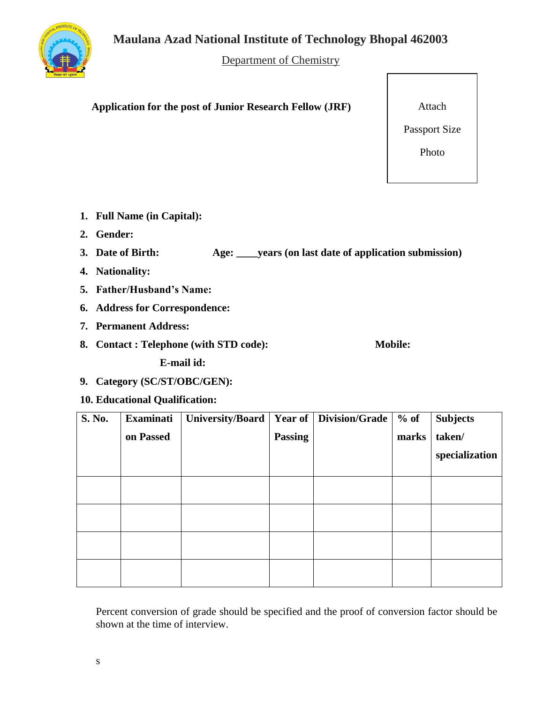

Department of Chemistry

**Application for the post of Junior Research Fellow (JRF)**

Attach

Passport Size

Photo

- **1. Full Name (in Capital):**
- **2. Gender:**
- **3. Date of Birth: Age: \_\_\_\_years (on last date of application submission)**
- **4. Nationality:**
- **5. Father/Husband's Name:**
- **6. Address for Correspondence:**
- **7. Permanent Address:**
- **8. Contact : Telephone (with STD code): Mobile:**

**E-mail id:** 

**9. Category (SC/ST/OBC/GEN):**

## **10. Educational Qualification:**

| S. No. | <b>Examinati</b> | <b>University/Board</b> | Year of        | <b>Division/Grade</b> | $%$ of | <b>Subjects</b> |
|--------|------------------|-------------------------|----------------|-----------------------|--------|-----------------|
|        | on Passed        |                         | <b>Passing</b> |                       | marks  | taken/          |
|        |                  |                         |                |                       |        | specialization  |
|        |                  |                         |                |                       |        |                 |
|        |                  |                         |                |                       |        |                 |
|        |                  |                         |                |                       |        |                 |
|        |                  |                         |                |                       |        |                 |

Percent conversion of grade should be specified and the proof of conversion factor should be shown at the time of interview.